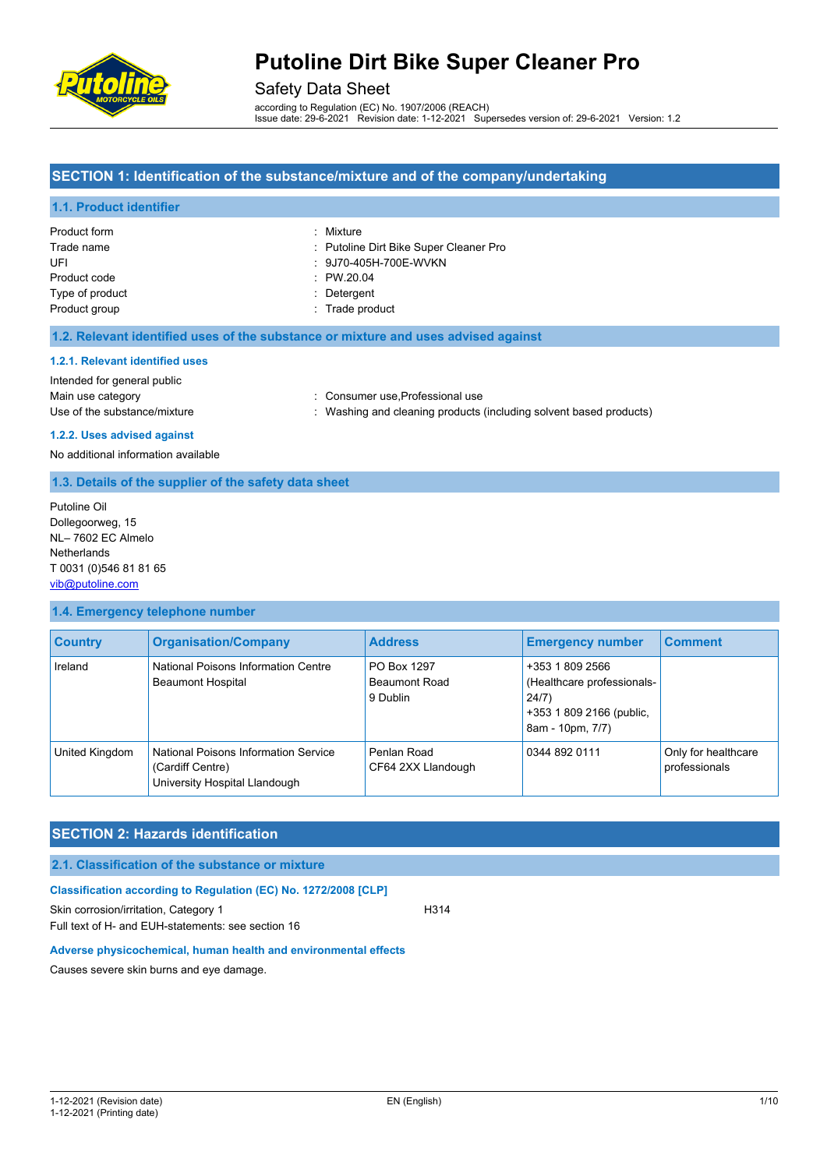

## Safety Data Sheet

according to Regulation (EC) No. 1907/2006 (REACH) Issue date: 29-6-2021 Revision date: 1-12-2021 Supersedes version of: 29-6-2021 Version: 1.2

## **SECTION 1: Identification of the substance/mixture and of the company/undertaking**

## **1.1. Product identifier**

| <b>Product form</b> | : Mixture                              |
|---------------------|----------------------------------------|
| Trade name          | : Putoline Dirt Bike Super Cleaner Pro |
| UFI                 | : 9J70-405H-700E-WVKN                  |
| Product code        | : PW.20.04                             |
| Type of product     | : Detergent                            |
| Product group       | : Trade product                        |

### **1.2. Relevant identified uses of the substance or mixture and uses advised against**

#### **1.2.1. Relevant identified uses**

Intended for general public Main use category **Main use category : Consumer use, Professional use** Use of the substance/mixture in the substance of the substance of the substance of the substance of the substance of the substance of the substance of the substance of the substance of the substance of the substance of the

**1.2.2. Uses advised against** No additional information available

## **1.3. Details of the supplier of the safety data sheet**

Putoline Oil Dollegoorweg, 15 NL– 7602 EC Almelo **Netherlands** T 0031 (0)546 81 81 65 [vib@putoline.com](mailto:vib@putoline.com)

## **1.4. Emergency telephone number**

| <b>Country</b> | <b>Organisation/Company</b>                                                               | <b>Address</b>                                  | <b>Emergency number</b>                                                                                | <b>Comment</b>                       |
|----------------|-------------------------------------------------------------------------------------------|-------------------------------------------------|--------------------------------------------------------------------------------------------------------|--------------------------------------|
| Ireland        | National Poisons Information Centre<br><b>Beaumont Hospital</b>                           | PO Box 1297<br><b>Beaumont Road</b><br>9 Dublin | +353 1 809 2566<br>(Healthcare professionals-<br>24/7)<br>+353 1 809 2166 (public,<br>8am - 10pm, 7/7) |                                      |
| United Kingdom | National Poisons Information Service<br>(Cardiff Centre)<br>University Hospital Llandough | Penlan Road<br>CF64 2XX Llandough               | 0344 892 0111                                                                                          | Only for healthcare<br>professionals |

## **SECTION 2: Hazards identification**

## **2.1. Classification of the substance or mixture**

#### **Classification according to Regulation (EC) No. 1272/2008 [CLP]**

Skin corrosion/irritation, Category 1 H314 Full text of H- and EUH-statements: see section 16

## **Adverse physicochemical, human health and environmental effects**

Causes severe skin burns and eye damage.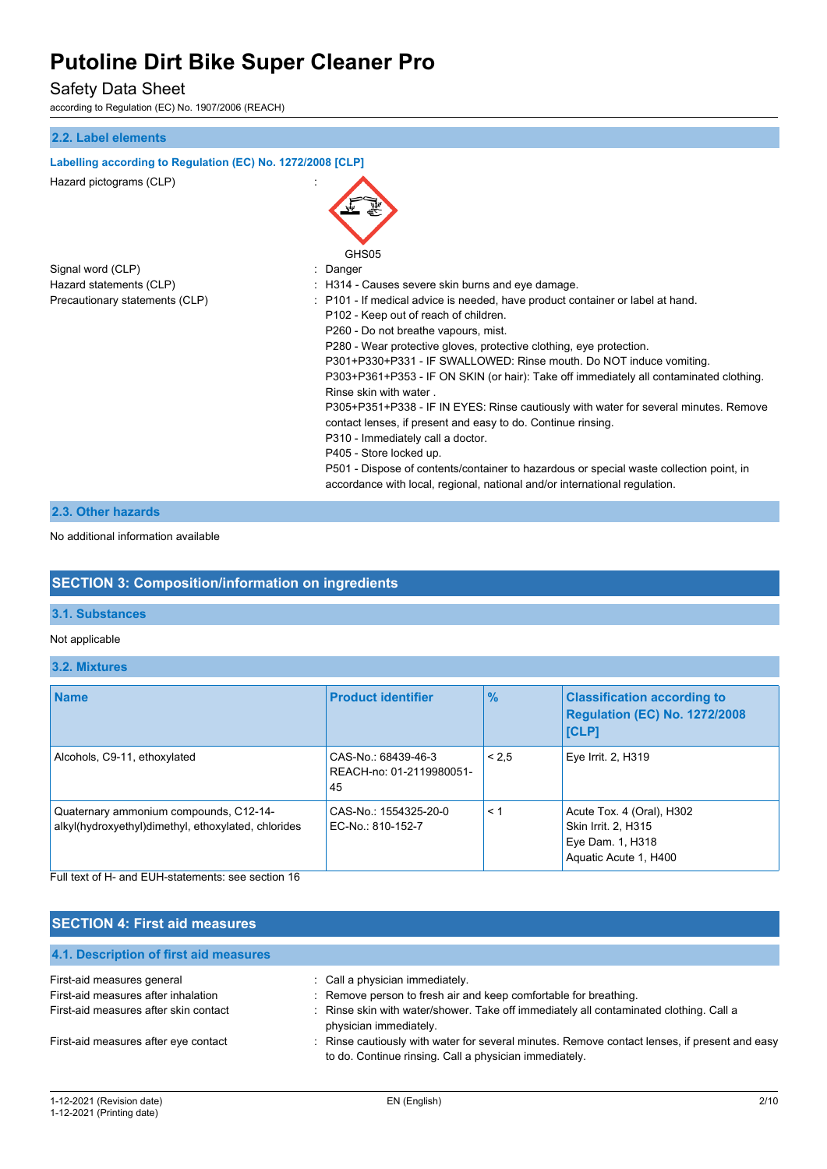Safety Data Sheet

according to Regulation (EC) No. 1907/2006 (REACH)

## **2.2. Label elements Labelling according to Regulation (EC) No. 1272/2008 [CLP]** Hazard pictograms (CLP) : GHS<sub>05</sub> Signal word (CLP)  $\qquad \qquad$ : Danger Hazard statements (CLP)  $\qquad \qquad$ : H314 - Causes severe skin burns and eve damage. Precautionary statements (CLP) : P101 - If medical advice is needed, have product container or label at hand. P102 - Keep out of reach of children. P260 - Do not breathe vapours, mist. P280 - Wear protective gloves, protective clothing, eye protection. P301+P330+P331 - IF SWALLOWED: Rinse mouth. Do NOT induce vomiting. P303+P361+P353 - IF ON SKIN (or hair): Take off immediately all contaminated clothing. Rinse skin with water . P305+P351+P338 - IF IN EYES: Rinse cautiously with water for several minutes. Remove contact lenses, if present and easy to do. Continue rinsing. P310 - Immediately call a doctor. P405 - Store locked up. P501 - Dispose of contents/container to hazardous or special waste collection point, in accordance with local, regional, national and/or international regulation.

## **2.3. Other hazards**

No additional information available

## **SECTION 3: Composition/information on ingredients**

### **3.1. Substances**

## Not applicable

**3.2. Mixtures**

| <b>Name</b>                                                                                                                                         | <b>Product identifier</b>                             | $\frac{9}{6}$ | <b>Classification according to</b><br><b>Regulation (EC) No. 1272/2008</b><br><b>[CLP]</b>    |
|-----------------------------------------------------------------------------------------------------------------------------------------------------|-------------------------------------------------------|---------------|-----------------------------------------------------------------------------------------------|
| Alcohols, C9-11, ethoxylated                                                                                                                        | CAS-No.: 68439-46-3<br>REACH-no: 01-2119980051-<br>45 | < 2.5         | Eye Irrit. 2, H319                                                                            |
| Quaternary ammonium compounds, C12-14-<br>alkyl(hydroxyethyl)dimethyl, ethoxylated, chlorides<br>Full text of H- and FUH-statements: see section 16 | CAS-No.: 1554325-20-0<br>EC-No.: 810-152-7            | < 1           | Acute Tox. 4 (Oral), H302<br>Skin Irrit. 2, H315<br>Eye Dam. 1, H318<br>Aquatic Acute 1, H400 |

## **SECTION 4: First aid measures**

| 4.1. Description of first aid measures |                                                                                                                                                       |
|----------------------------------------|-------------------------------------------------------------------------------------------------------------------------------------------------------|
| First-aid measures general             | Call a physician immediately.                                                                                                                         |
| First-aid measures after inhalation    | : Remove person to fresh air and keep comfortable for breathing.                                                                                      |
| First-aid measures after skin contact  | : Rinse skin with water/shower. Take off immediately all contaminated clothing. Call a<br>physician immediately.                                      |
| First-aid measures after eye contact   | Rinse cautiously with water for several minutes. Remove contact lenses, if present and easy<br>to do. Continue rinsing. Call a physician immediately. |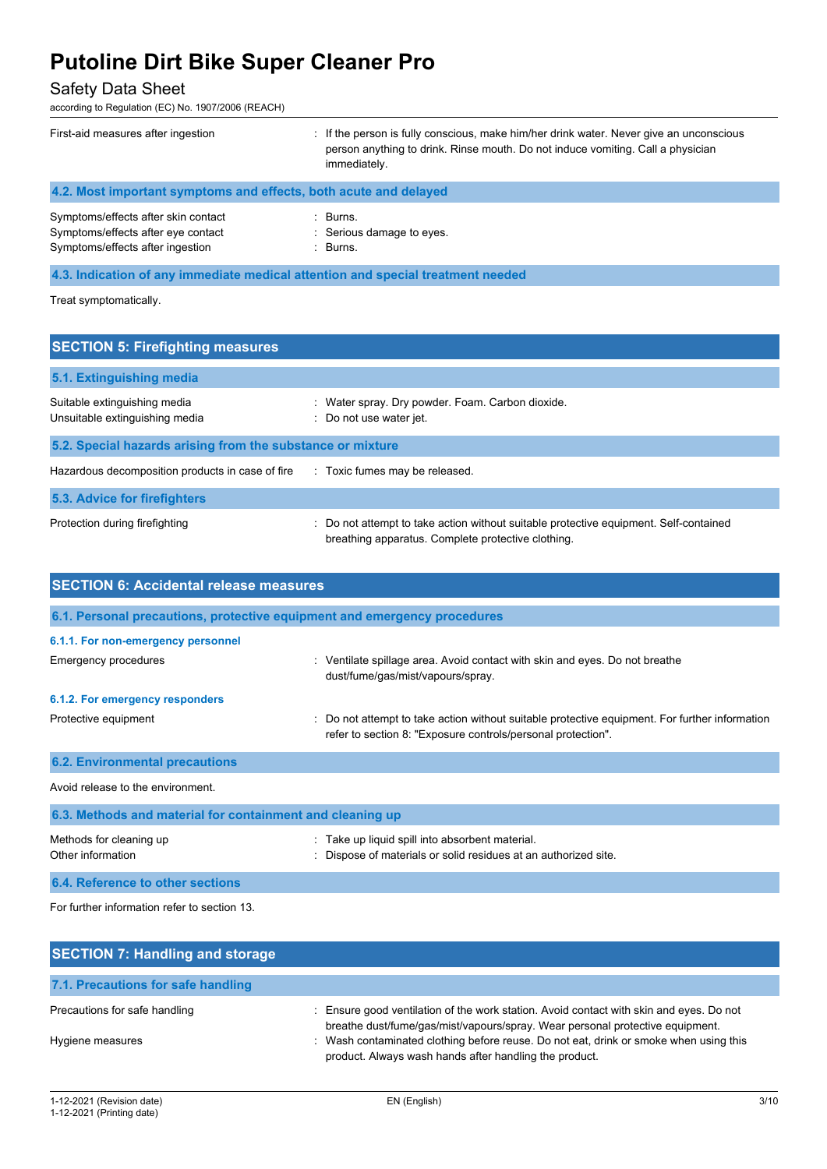## Safety Data Sheet

according to Regulation (EC) No. 1907/2006 (REACH)

| First-aid measures after ingestion                                                                            | If the person is fully conscious, make him/her drink water. Never give an unconscious<br>person anything to drink. Rinse mouth. Do not induce vomiting. Call a physician<br>immediately. |
|---------------------------------------------------------------------------------------------------------------|------------------------------------------------------------------------------------------------------------------------------------------------------------------------------------------|
| 4.2. Most important symptoms and effects, both acute and delayed                                              |                                                                                                                                                                                          |
| Symptoms/effects after skin contact<br>Symptoms/effects after eye contact<br>Symptoms/effects after ingestion | Burns.<br>: Serious damage to eyes.<br>$\therefore$ Burns.                                                                                                                               |

**4.3. Indication of any immediate medical attention and special treatment needed**

Treat symptomatically.

| <b>SECTION 5: Firefighting measures</b>                        |                                                                                                                                             |
|----------------------------------------------------------------|---------------------------------------------------------------------------------------------------------------------------------------------|
| 5.1. Extinguishing media                                       |                                                                                                                                             |
| Suitable extinguishing media<br>Unsuitable extinguishing media | Water spray. Dry powder. Foam. Carbon dioxide.<br>Do not use water jet.                                                                     |
| 5.2. Special hazards arising from the substance or mixture     |                                                                                                                                             |
| Hazardous decomposition products in case of fire               | : Toxic fumes may be released.                                                                                                              |
| 5.3. Advice for firefighters                                   |                                                                                                                                             |
| Protection during firefighting                                 | : Do not attempt to take action without suitable protective equipment. Self-contained<br>breathing apparatus. Complete protective clothing. |

| <b>SECTION 6: Accidental release measures</b>                            |                                                                                                                                                              |  |  |  |
|--------------------------------------------------------------------------|--------------------------------------------------------------------------------------------------------------------------------------------------------------|--|--|--|
| 6.1. Personal precautions, protective equipment and emergency procedures |                                                                                                                                                              |  |  |  |
| 6.1.1. For non-emergency personnel                                       |                                                                                                                                                              |  |  |  |
| Emergency procedures                                                     | : Ventilate spillage area. Avoid contact with skin and eyes. Do not breathe<br>dust/fume/gas/mist/vapours/spray.                                             |  |  |  |
| 6.1.2. For emergency responders                                          |                                                                                                                                                              |  |  |  |
| Protective equipment                                                     | Do not attempt to take action without suitable protective equipment. For further information<br>refer to section 8: "Exposure controls/personal protection". |  |  |  |
| <b>6.2. Environmental precautions</b>                                    |                                                                                                                                                              |  |  |  |
| Avoid release to the environment.                                        |                                                                                                                                                              |  |  |  |
| 6.3. Methods and material for containment and cleaning up                |                                                                                                                                                              |  |  |  |
| Methods for cleaning up<br>Other information                             | Take up liquid spill into absorbent material.<br>Dispose of materials or solid residues at an authorized site.                                               |  |  |  |

**6.4. Reference to other sections**

For further information refer to section 13.

| <b>SECTION 7: Handling and storage</b> |                                                                                                                                                                        |
|----------------------------------------|------------------------------------------------------------------------------------------------------------------------------------------------------------------------|
| 7.1. Precautions for safe handling     |                                                                                                                                                                        |
| Precautions for safe handling          | Ensure good ventilation of the work station. Avoid contact with skin and eyes. Do not<br>breathe dust/fume/gas/mist/vapours/spray. Wear personal protective equipment. |
| Hygiene measures                       | : Wash contaminated clothing before reuse. Do not eat, drink or smoke when using this<br>product. Always wash hands after handling the product.                        |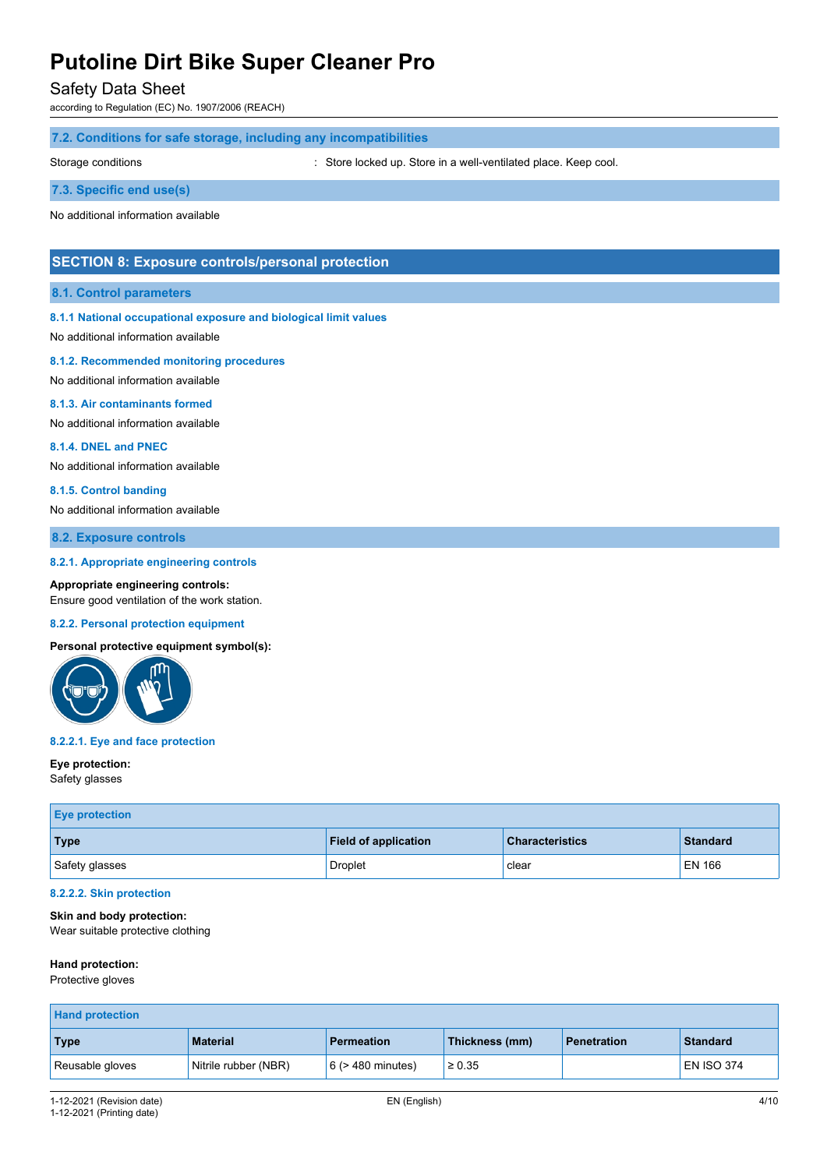Safety Data Sheet

according to Regulation (EC) No. 1907/2006 (REACH)

## **7.2. Conditions for safe storage, including any incompatibilities**

Storage conditions : Store locked up. Store in a well-ventilated place. Keep cool.

### **7.3. Specific end use(s)**

No additional information available

## **SECTION 8: Exposure controls/personal protection**

## **8.1. Control parameters**

#### **8.1.1 National occupational exposure and biological limit values**

No additional information available

### **8.1.2. Recommended monitoring procedures**

No additional information available

#### **8.1.3. Air contaminants formed**

No additional information available

#### **8.1.4. DNEL and PNEC**

No additional information available

#### **8.1.5. Control banding**

No additional information available

## **8.2. Exposure controls**

#### **8.2.1. Appropriate engineering controls**

**Appropriate engineering controls:** Ensure good ventilation of the work station.

#### **8.2.2. Personal protection equipment**

## **Personal protective equipment symbol(s):**



### **8.2.2.1. Eye and face protection**

#### **Eye protection:**

Safety glasses

| <b>Eye protection</b> |                             |                        |                 |
|-----------------------|-----------------------------|------------------------|-----------------|
| Type                  | <b>Field of application</b> | <b>Characteristics</b> | <b>Standard</b> |
| Safety glasses        | Droplet                     | clear                  | <b>EN 166</b>   |

## **8.2.2.2. Skin protection**

## **Skin and body protection:**

Wear suitable protective clothing

## **Hand protection:**

Protective gloves

| <b>Hand protection</b> |                      |                        |                |                    |                   |
|------------------------|----------------------|------------------------|----------------|--------------------|-------------------|
| Type                   | <b>Material</b>      | <b>Permeation</b>      | Thickness (mm) | <b>Penetration</b> | <b>Standard</b>   |
| Reusable gloves        | Nitrile rubber (NBR) | $6$ ( $>$ 480 minutes) | $\ge 0.35$     |                    | <b>EN ISO 374</b> |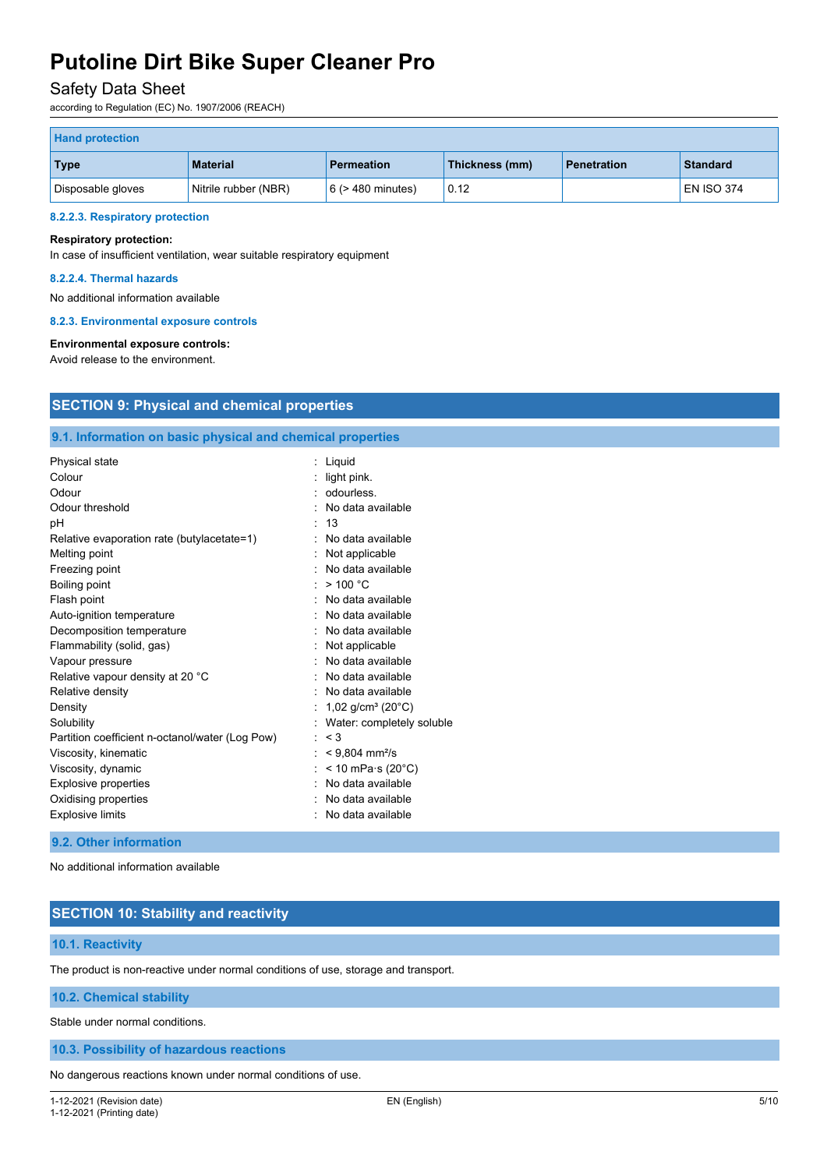## Safety Data Sheet

according to Regulation (EC) No. 1907/2006 (REACH)

| <b>Hand protection</b> |                      |                        |                |                    |                   |
|------------------------|----------------------|------------------------|----------------|--------------------|-------------------|
| Type                   | <b>Material</b>      | <b>Permeation</b>      | Thickness (mm) | <b>Penetration</b> | <b>Standard</b>   |
| Disposable gloves      | Nitrile rubber (NBR) | $6$ ( $>$ 480 minutes) | 0.12           |                    | <b>EN ISO 374</b> |

#### **8.2.2.3. Respiratory protection**

### **Respiratory protection:**

In case of insufficient ventilation, wear suitable respiratory equipment

#### **8.2.2.4. Thermal hazards**

No additional information available

#### **8.2.3. Environmental exposure controls**

## **Environmental exposure controls:**

Avoid release to the environment.

## **SECTION 9: Physical and chemical properties**

## **9.1. Information on basic physical and chemical properties**

| Physical state<br>Colour<br>Odour<br>Odour threshold<br>рH<br>Relative evaporation rate (butylacetate=1)<br>Melting point<br>Freezing point<br>Boiling point<br>Flash point<br>Auto-ignition temperature<br>Decomposition temperature<br>Flammability (solid, gas)<br>Vapour pressure<br>Relative vapour density at 20 °C<br>Relative density<br>Density<br>Solubility<br>Partition coefficient n-octanol/water (Log Pow) | : Liquid<br>light pink.<br>odourless.<br>No data available<br>13<br>No data available<br>Not applicable<br>No data available<br>>100 °C<br>No data available<br>No data available<br>No data available<br>: Not applicable<br>No data available<br>$:$ No data available<br>. No data available<br>: 1,02 g/cm <sup>3</sup> (20°C)<br>Water: completely soluble<br>: < 3 |
|---------------------------------------------------------------------------------------------------------------------------------------------------------------------------------------------------------------------------------------------------------------------------------------------------------------------------------------------------------------------------------------------------------------------------|--------------------------------------------------------------------------------------------------------------------------------------------------------------------------------------------------------------------------------------------------------------------------------------------------------------------------------------------------------------------------|
|                                                                                                                                                                                                                                                                                                                                                                                                                           |                                                                                                                                                                                                                                                                                                                                                                          |
| Viscosity, kinematic                                                                                                                                                                                                                                                                                                                                                                                                      | $< 9,804$ mm <sup>2</sup> /s                                                                                                                                                                                                                                                                                                                                             |
| Viscosity, dynamic                                                                                                                                                                                                                                                                                                                                                                                                        | < 10 mPa $\cdot$ s (20 $\degree$ C)                                                                                                                                                                                                                                                                                                                                      |
| <b>Explosive properties</b>                                                                                                                                                                                                                                                                                                                                                                                               | No data available                                                                                                                                                                                                                                                                                                                                                        |
| Oxidising properties                                                                                                                                                                                                                                                                                                                                                                                                      | No data available                                                                                                                                                                                                                                                                                                                                                        |
| <b>Explosive limits</b>                                                                                                                                                                                                                                                                                                                                                                                                   | No data available                                                                                                                                                                                                                                                                                                                                                        |

## **9.2. Other information**

No additional information available

## **SECTION 10: Stability and reactivity**

## **10.1. Reactivity**

The product is non-reactive under normal conditions of use, storage and transport.

## **10.2. Chemical stability**

Stable under normal conditions.

## **10.3. Possibility of hazardous reactions**

No dangerous reactions known under normal conditions of use.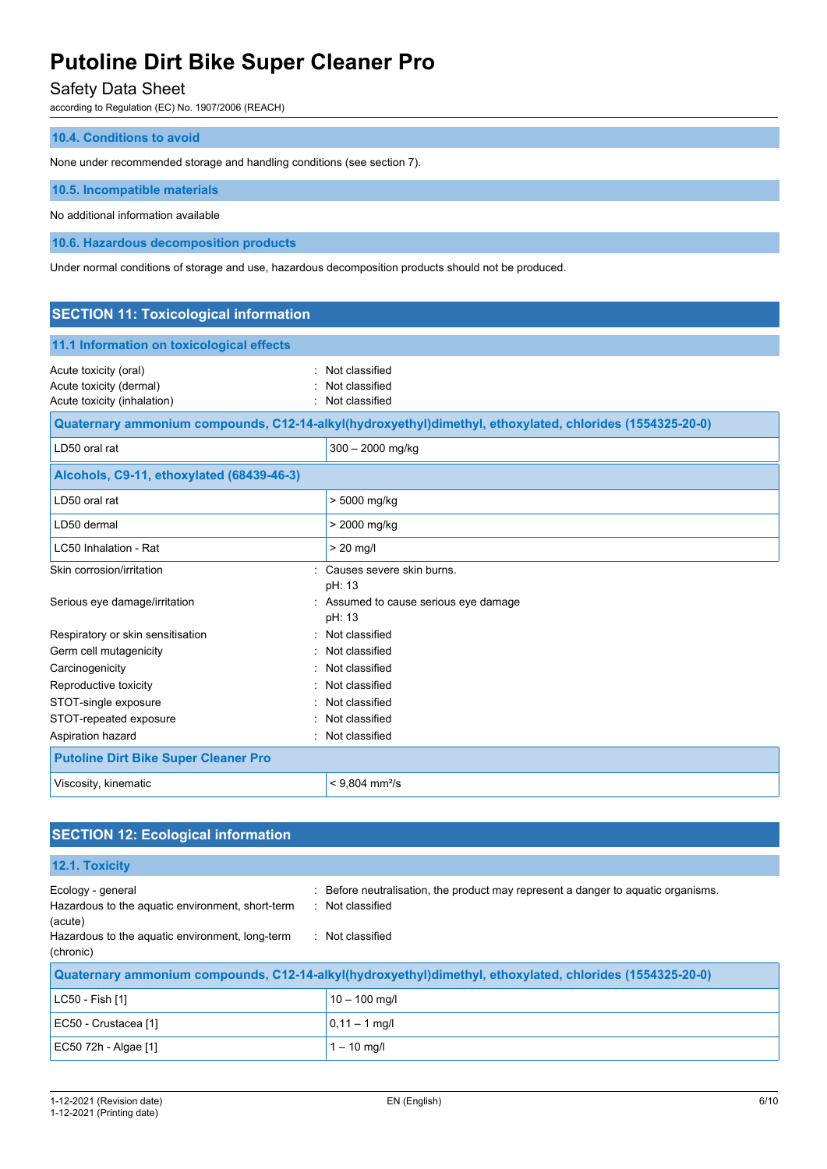## Safety Data Sheet

according to Regulation (EC) No. 1907/2006 (REACH)

## **10.4. Conditions to avoid**

None under recommended storage and handling conditions (see section 7).

**10.5. Incompatible materials**

No additional information available

**10.6. Hazardous decomposition products**

Under normal conditions of storage and use, hazardous decomposition products should not be produced.

| <b>SECTION 11: Toxicological information</b>                                    |                                                                                                          |  |
|---------------------------------------------------------------------------------|----------------------------------------------------------------------------------------------------------|--|
| 11.1 Information on toxicological effects                                       |                                                                                                          |  |
| Acute toxicity (oral)<br>Acute toxicity (dermal)<br>Acute toxicity (inhalation) | Not classified<br>Not classified<br>Not classified                                                       |  |
|                                                                                 | Quaternary ammonium compounds, C12-14-alkyl(hydroxyethyl)dimethyl, ethoxylated, chlorides (1554325-20-0) |  |
| LD50 oral rat                                                                   | 300 - 2000 mg/kg                                                                                         |  |
| Alcohols, C9-11, ethoxylated (68439-46-3)                                       |                                                                                                          |  |
| LD50 oral rat                                                                   | > 5000 mg/kg                                                                                             |  |
| LD50 dermal                                                                     | > 2000 mg/kg                                                                                             |  |
| LC50 Inhalation - Rat                                                           | $> 20$ mg/l                                                                                              |  |
| Skin corrosion/irritation                                                       | Causes severe skin burns.<br>pH: 13                                                                      |  |
| Serious eye damage/irritation                                                   | : Assumed to cause serious eye damage<br>pH: 13                                                          |  |
| Respiratory or skin sensitisation<br>$\bullet$                                  | Not classified                                                                                           |  |
| Germ cell mutagenicity                                                          | Not classified                                                                                           |  |
| Carcinogenicity                                                                 | Not classified                                                                                           |  |
| Reproductive toxicity                                                           | Not classified                                                                                           |  |
| STOT-single exposure                                                            | Not classified                                                                                           |  |
| STOT-repeated exposure                                                          | Not classified                                                                                           |  |
| Aspiration hazard                                                               | Not classified                                                                                           |  |
| <b>Putoline Dirt Bike Super Cleaner Pro</b>                                     |                                                                                                          |  |
| Viscosity, kinematic                                                            | $< 9,804$ mm <sup>2</sup> /s                                                                             |  |

## **SECTION 12: Ecological information 12.1. Toxicity** Ecology - general interest in the product may represent a danger to aquatic organisms. Hazardous to the aquatic environment, short-term (acute) : Not classified Hazardous to the aquatic environment, long-term (chronic) : Not classified **Quaternary ammonium compounds, C12-14-alkyl(hydroxyethyl)dimethyl, ethoxylated, chlorides (1554325-20-0)**  $LC50 - Fish [1]$  10 – 100 mg/l EC50 - Crustacea [1]  $\boxed{0,11 - 1 \text{ mg/l}}$ EC50 72h - Algae [1]  $\vert$  1 – 10 mg/l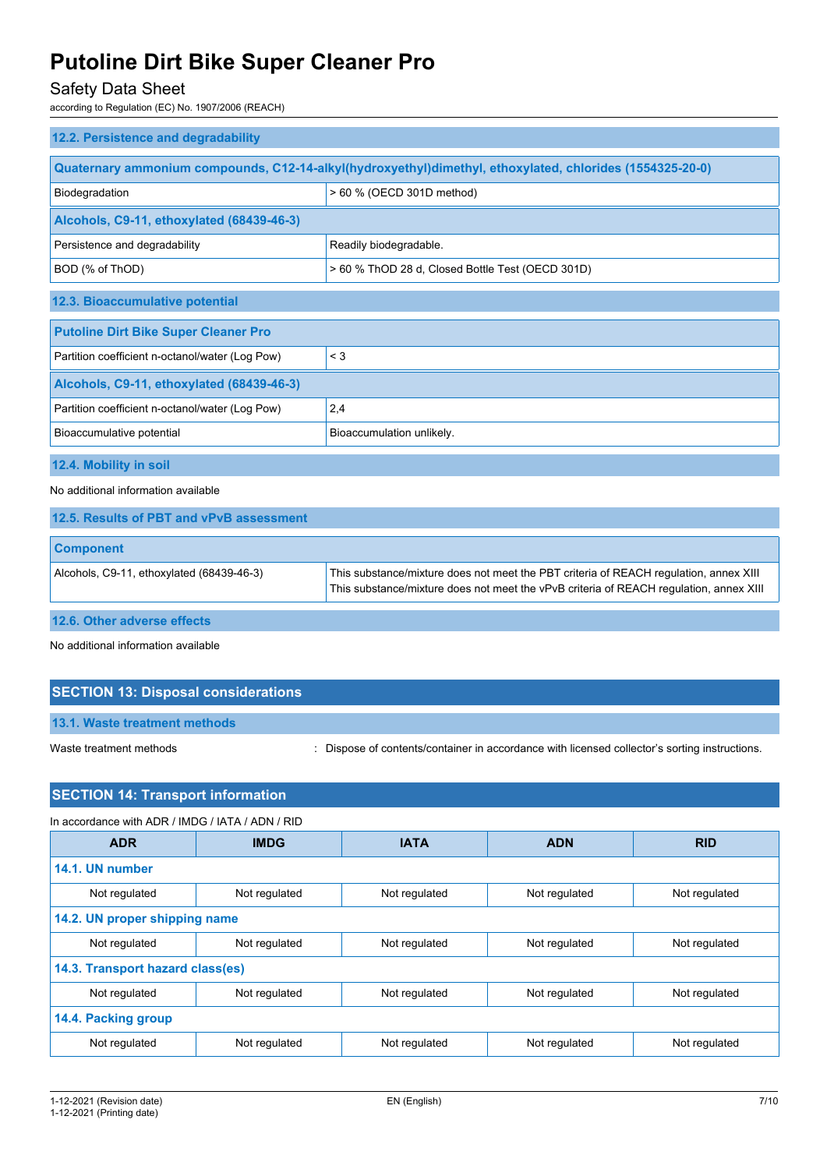## Safety Data Sheet

according to Regulation (EC) No. 1907/2006 (REACH)

| 12.2. Persistence and degradability                                                                      |                                                  |  |
|----------------------------------------------------------------------------------------------------------|--------------------------------------------------|--|
| Quaternary ammonium compounds, C12-14-alkyl(hydroxyethyl)dimethyl, ethoxylated, chlorides (1554325-20-0) |                                                  |  |
| Biodegradation                                                                                           | > 60 % (OECD 301D method)                        |  |
| Alcohols, C9-11, ethoxylated (68439-46-3)                                                                |                                                  |  |
| Persistence and degradability                                                                            | Readily biodegradable.                           |  |
| BOD (% of ThOD)                                                                                          | > 60 % ThOD 28 d, Closed Bottle Test (OECD 301D) |  |
| 12.3. Bioaccumulative potential                                                                          |                                                  |  |
| <b>Putoline Dirt Bike Super Cleaner Pro</b>                                                              |                                                  |  |
| Partition coefficient n-octanol/water (Log Pow)                                                          | $\leq$ 3                                         |  |
| Alcohols, C9-11, ethoxylated (68439-46-3)                                                                |                                                  |  |
| Partition coefficient n-octanol/water (Log Pow)                                                          | 2,4                                              |  |
| Bioaccumulative potential                                                                                | Bioaccumulation unlikely.                        |  |
| 12.4. Mobility in soil                                                                                   |                                                  |  |
| No additional information available                                                                      |                                                  |  |
| 12.5. Results of PBT and vPvB assessment                                                                 |                                                  |  |

| <b>Component</b>                          |                                                                                                                                                                                 |
|-------------------------------------------|---------------------------------------------------------------------------------------------------------------------------------------------------------------------------------|
| Alcohols, C9-11, ethoxylated (68439-46-3) | This substance/mixture does not meet the PBT criteria of REACH regulation, annex XIII<br>This substance/mixture does not meet the vPvB criteria of REACH regulation, annex XIII |

**12.6. Other adverse effects**

No additional information available

## **SECTION 13: Disposal considerations**

**13.1. Waste treatment methods**

Waste treatment methods : Dispose of contents/container in accordance with licensed collector's sorting instructions.

## **SECTION 14: Transport information**

| In accordance with ADR / IMDG / IATA / ADN / RID |               |               |               |               |
|--------------------------------------------------|---------------|---------------|---------------|---------------|
| <b>ADR</b>                                       | <b>IMDG</b>   | <b>IATA</b>   | <b>ADN</b>    | <b>RID</b>    |
| 14.1. UN number                                  |               |               |               |               |
| Not regulated                                    | Not regulated | Not regulated | Not regulated | Not regulated |
| 14.2. UN proper shipping name                    |               |               |               |               |
| Not regulated                                    | Not regulated | Not regulated | Not regulated | Not regulated |
| 14.3. Transport hazard class(es)                 |               |               |               |               |
| Not regulated                                    | Not regulated | Not regulated | Not regulated | Not regulated |
| 14.4. Packing group                              |               |               |               |               |
| Not regulated                                    | Not regulated | Not regulated | Not regulated | Not regulated |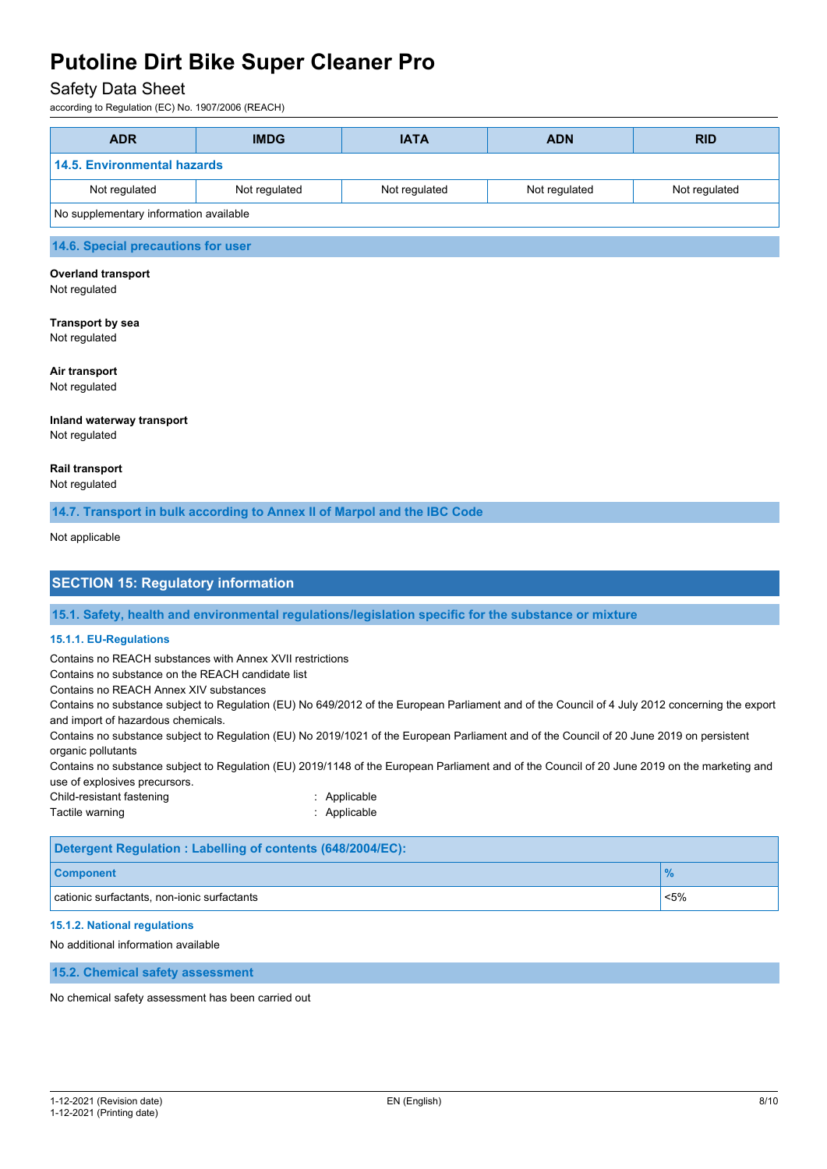## Safety Data Sheet

according to Regulation (EC) No. 1907/2006 (REACH)

| <b>ADR</b>                             | <b>IMDG</b>   | <b>IATA</b>   | <b>ADN</b>    | <b>RID</b>    |
|----------------------------------------|---------------|---------------|---------------|---------------|
| 14.5. Environmental hazards            |               |               |               |               |
| Not regulated                          | Not regulated | Not regulated | Not regulated | Not regulated |
| No supplementary information available |               |               |               |               |
| 14.6. Special precautions for user     |               |               |               |               |

## **Overland transport**

Not regulated

### **Transport by sea** Not regulated

**Air transport**

Not regulated

#### **Inland waterway transport** Not regulated

## **Rail transport**

Not regulated

**14.7. Transport in bulk according to Annex II of Marpol and the IBC Code**

#### Not applicable

## **SECTION 15: Regulatory information**

**15.1. Safety, health and environmental regulations/legislation specific for the substance or mixture**

## **15.1.1. EU-Regulations**

Contains no REACH substances with Annex XVII restrictions

Contains no substance on the REACH candidate list

Contains no REACH Annex XIV substances

Contains no substance subject to Regulation (EU) No 649/2012 of the European Parliament and of the Council of 4 July 2012 concerning the export and import of hazardous chemicals.

Contains no substance subject to Regulation (EU) No 2019/1021 of the European Parliament and of the Council of 20 June 2019 on persistent organic pollutants

Contains no substance subject to Regulation (EU) 2019/1148 of the European Parliament and of the Council of 20 June 2019 on the marketing and use of explosives precursors.

Child-resistant fastening in the state of the Shahid School and School and School and School and School and School and School and School and School and School and School and School and School and School and School and Scho

Tactile warning **in the case of the California** Contraction of the Applicable

| Detergent Regulation: Labelling of contents (648/2004/EC): |         |  |
|------------------------------------------------------------|---------|--|
| <b>Component</b>                                           |         |  |
| cationic surfactants, non-ionic surfactants                | $< 5\%$ |  |

## **15.1.2. National regulations**

No additional information available

**15.2. Chemical safety assessment**

No chemical safety assessment has been carried out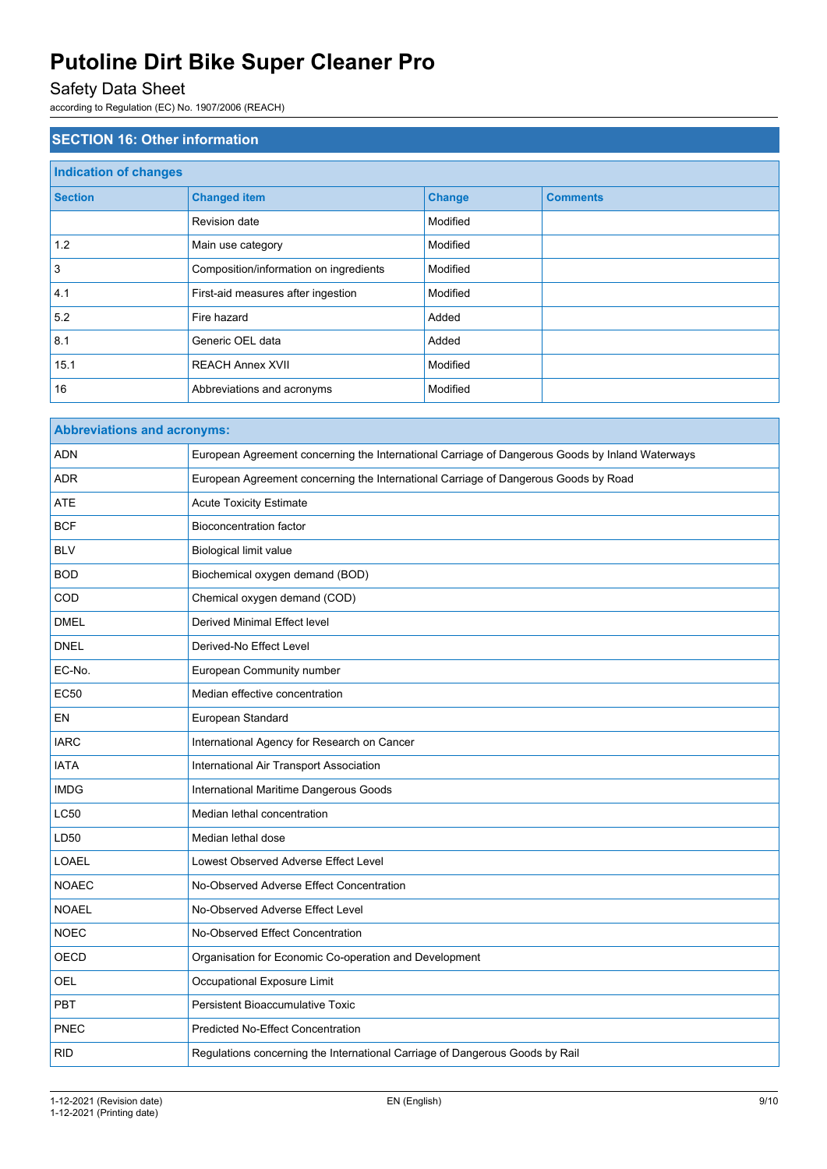## Safety Data Sheet

according to Regulation (EC) No. 1907/2006 (REACH)

| <b>SECTION 16: Other information</b> |                                        |               |                 |  |
|--------------------------------------|----------------------------------------|---------------|-----------------|--|
| <b>Indication of changes</b>         |                                        |               |                 |  |
| <b>Section</b>                       | <b>Changed item</b>                    | <b>Change</b> | <b>Comments</b> |  |
|                                      | Revision date                          | Modified      |                 |  |
| 1.2                                  | Main use category                      | Modified      |                 |  |
| 3                                    | Composition/information on ingredients | Modified      |                 |  |
| 4.1                                  | First-aid measures after ingestion     | Modified      |                 |  |
| 5.2                                  | Fire hazard                            | Added         |                 |  |
| 8.1                                  | Generic OEL data                       | Added         |                 |  |
| 15.1                                 | <b>REACH Annex XVII</b>                | Modified      |                 |  |
| 16                                   | Abbreviations and acronyms             | Modified      |                 |  |

| <b>Abbreviations and acronyms:</b> |                                                                                                 |  |
|------------------------------------|-------------------------------------------------------------------------------------------------|--|
| <b>ADN</b>                         | European Agreement concerning the International Carriage of Dangerous Goods by Inland Waterways |  |
| <b>ADR</b>                         | European Agreement concerning the International Carriage of Dangerous Goods by Road             |  |
| <b>ATE</b>                         | <b>Acute Toxicity Estimate</b>                                                                  |  |
| <b>BCF</b>                         | <b>Bioconcentration factor</b>                                                                  |  |
| <b>BLV</b>                         | <b>Biological limit value</b>                                                                   |  |
| <b>BOD</b>                         | Biochemical oxygen demand (BOD)                                                                 |  |
| COD                                | Chemical oxygen demand (COD)                                                                    |  |
| <b>DMEL</b>                        | <b>Derived Minimal Effect level</b>                                                             |  |
| <b>DNEL</b>                        | Derived-No Effect Level                                                                         |  |
| EC-No.                             | European Community number                                                                       |  |
| <b>EC50</b>                        | Median effective concentration                                                                  |  |
| EN                                 | European Standard                                                                               |  |
| <b>IARC</b>                        | International Agency for Research on Cancer                                                     |  |
| <b>IATA</b>                        | International Air Transport Association                                                         |  |
| <b>IMDG</b>                        | International Maritime Dangerous Goods                                                          |  |
| <b>LC50</b>                        | Median lethal concentration                                                                     |  |
| LD50                               | Median lethal dose                                                                              |  |
| <b>LOAEL</b>                       | Lowest Observed Adverse Effect Level                                                            |  |
| <b>NOAEC</b>                       | No-Observed Adverse Effect Concentration                                                        |  |
| <b>NOAEL</b>                       | No-Observed Adverse Effect Level                                                                |  |
| <b>NOEC</b>                        | No-Observed Effect Concentration                                                                |  |
| OECD                               | Organisation for Economic Co-operation and Development                                          |  |
| OEL                                | Occupational Exposure Limit                                                                     |  |
| <b>PBT</b>                         | <b>Persistent Bioaccumulative Toxic</b>                                                         |  |
| PNEC                               | <b>Predicted No-Effect Concentration</b>                                                        |  |
| <b>RID</b>                         | Regulations concerning the International Carriage of Dangerous Goods by Rail                    |  |